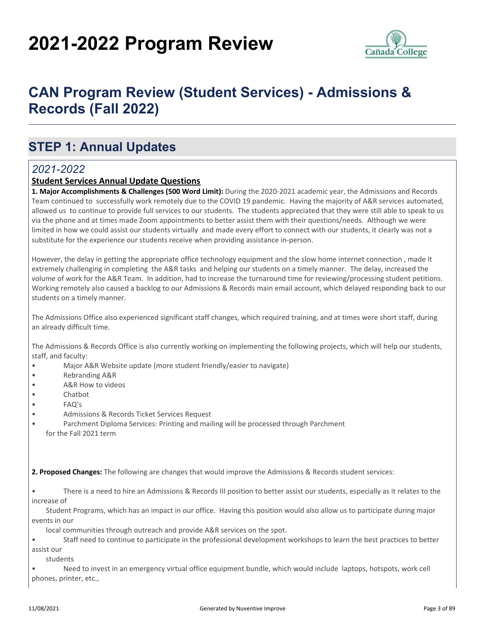# **2021-2022 Program Review**



## **CAN Program Review (Student Services) - Admissions & Records (Fall 2022)**

### **STEP 1: Annual Updates**

#### *2021-2022*

#### **Student Services Annual Update Questions**

**1. Major Accomplishments & Challenges (500 Word Limit):** During the 2020-2021 academic year, the Admissions and Records Team continued to successfully work remotely due to the COVID 19 pandemic. Having the majority of A&R services automated, allowed us to continue to provide full services to our students. The students appreciated that they were still able to speak to us via the phone and at times made Zoom appointments to better assist them with their questions/needs. Although we were limited in how we could assist our students virtually and made every effort to connect with our students, it clearly was not a substitute for the experience our students receive when providing assistance in-person.

However, the delay in getting the appropriate office technology equipment and the slow home internet connection , made it extremely challenging in completing the A&R tasks and helping our students on a timely manner. The delay, increased the volume of work for the A&R Team. In addition, had to increase the turnaround time for reviewing/processing student petitions. Working remotely also caused a backlog to our Admissions & Records main email account, which delayed responding back to our students on a timely manner.

The Admissions Office also experienced significant staff changes, which required training, and at times were short staff, during an already difficult time.

The Admissions & Records Office is also currently working on implementing the following projects, which will help our students, staff, and faculty:

- Major A&R Website update (more student friendly/easier to navigate)
- Rebranding A&R
- A&R How to videos
- Chatbot
- FAQ's
- Admissions & Records Ticket Services Request
- Parchment Diploma Services: Printing and mailing will be processed through Parchment for the Fall 2021 term

**2. Proposed Changes:** The following are changes that would improve the Admissions & Records student services:

• There is a need to hire an Admissions & Records III position to better assist our students, especially as it relates to the increase of

 Student Programs, which has an impact in our office. Having this position would also allow us to participate during major events in our

local communities through outreach and provide A&R services on the spot.

• Staff need to continue to participate in the professional development workshops to learn the best practices to better assist our

students

• Need to invest in an emergency virtual office equipment bundle, which would include laptops, hotspots, work cell phones, printer, etc.,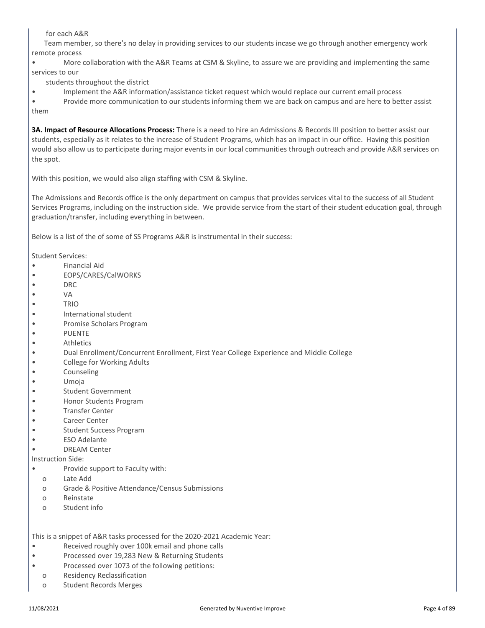for each A&R

 Team member, so there's no delay in providing services to our students incase we go through another emergency work remote process

• More collaboration with the A&R Teams at CSM & Skyline, to assure we are providing and implementing the same services to our

- students throughout the district
- Implement the A&R information/assistance ticket request which would replace our current email process

• Provide more communication to our students informing them we are back on campus and are here to better assist them

**3A. Impact of Resource Allocations Process:** There is a need to hire an Admissions & Records III position to better assist our students, especially as it relates to the increase of Student Programs, which has an impact in our office. Having this position would also allow us to participate during major events in our local communities through outreach and provide A&R services on the spot.

With this position, we would also align staffing with CSM & Skyline.

The Admissions and Records office is the only department on campus that provides services vital to the success of all Student Services Programs, including on the instruction side. We provide service from the start of their student education goal, through graduation/transfer, including everything in between.

Below is a list of the of some of SS Programs A&R is instrumental in their success:

Student Services:

- Financial Aid
- EOPS/CARES/CalWORKS
- DRC
- VA
- TRIO
- International student
- Promise Scholars Program
- PUENTE
- Athletics
- Dual Enrollment/Concurrent Enrollment, First Year College Experience and Middle College
- College for Working Adults
- Counseling
- Umoja
- Student Government
- Honor Students Program
- Transfer Center
- Career Center
- Student Success Program
- ESO Adelante
- DREAM Center

Instruction Side:

- Provide support to Faculty with:
- o Late Add
- o Grade & Positive Attendance/Census Submissions
- o Reinstate
- o Student info

This is a snippet of A&R tasks processed for the 2020-2021 Academic Year:

- Received roughly over 100k email and phone calls
- Processed over 19,283 New & Returning Students
- Processed over 1073 of the following petitions:
- o Residency Reclassification
- o Student Records Merges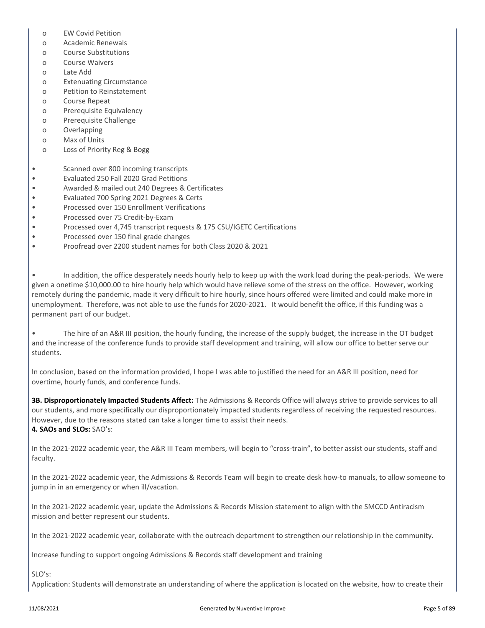- o EW Covid Petition
- o Academic Renewals
- o Course Substitutions
- o Course Waivers
- o Late Add
- o Extenuating Circumstance
- o Petition to Reinstatement
- o Course Repeat
- o Prerequisite Equivalency
- o Prerequisite Challenge
- o Overlapping
- o Max of Units
- o Loss of Priority Reg & Bogg
- Scanned over 800 incoming transcripts
- Evaluated 250 Fall 2020 Grad Petitions
- Awarded & mailed out 240 Degrees & Certificates
- Evaluated 700 Spring 2021 Degrees & Certs
- Processed over 150 Enrollment Verifications
- Processed over 75 Credit-by-Exam
- Processed over 4,745 transcript requests & 175 CSU/IGETC Certifications
- Processed over 150 final grade changes
- Proofread over 2200 student names for both Class 2020 & 2021

• In addition, the office desperately needs hourly help to keep up with the work load during the peak-periods. We were given a onetime \$10,000.00 to hire hourly help which would have relieve some of the stress on the office. However, working remotely during the pandemic, made it very difficult to hire hourly, since hours offered were limited and could make more in unemployment. Therefore, was not able to use the funds for 2020-2021. It would benefit the office, if this funding was a permanent part of our budget.

• The hire of an A&R III position, the hourly funding, the increase of the supply budget, the increase in the OT budget and the increase of the conference funds to provide staff development and training, will allow our office to better serve our students.

In conclusion, based on the information provided, I hope I was able to justified the need for an A&R III position, need for overtime, hourly funds, and conference funds.

**3B. Disproportionately Impacted Students Affect:** The Admissions & Records Office will always strive to provide services to all our students, and more specifically our disproportionately impacted students regardless of receiving the requested resources. However, due to the reasons stated can take a longer time to assist their needs. **4. SAOs and SLOs:** SAO's:

In the 2021-2022 academic year, the A&R III Team members, will begin to "cross-train", to better assist our students, staff and faculty.

In the 2021-2022 academic year, the Admissions & Records Team will begin to create desk how-to manuals, to allow someone to jump in in an emergency or when ill/vacation.

In the 2021-2022 academic year, update the Admissions & Records Mission statement to align with the SMCCD Antiracism mission and better represent our students.

In the 2021-2022 academic year, collaborate with the outreach department to strengthen our relationship in the community.

Increase funding to support ongoing Admissions & Records staff development and training

SLO's:

Application: Students will demonstrate an understanding of where the application is located on the website, how to create their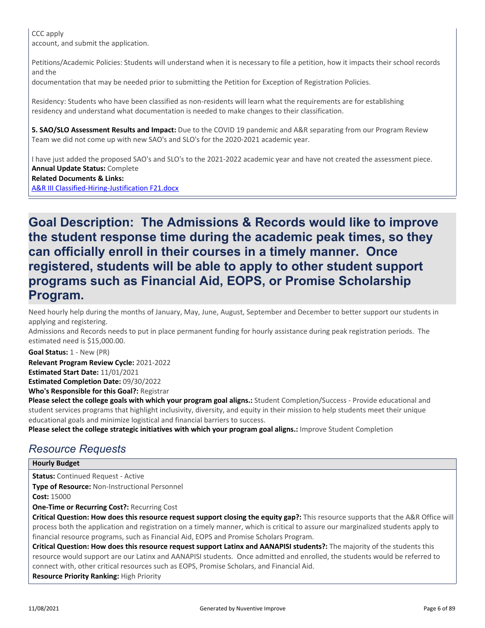CCC apply account, and submit the application.

Petitions/Academic Policies: Students will understand when it is necessary to file a petition, how it impacts their school records and the

documentation that may be needed prior to submitting the Petition for Exception of Registration Policies.

Residency: Students who have been classified as non-residents will learn what the requirements are for establishing residency and understand what documentation is needed to make changes to their classification.

**5. SAO/SLO Assessment Results and Impact:** Due to the COVID 19 pandemic and A&R separating from our Program Review Team we did not come up with new SAO's and SLO's for the 2020-2021 academic year.

I have just added the proposed SAO's and SLO's to the 2021-2022 academic year and have not created the assessment piece. **Annual Update Status:** Complete

#### **Related Documents & Links:**

[A&R III Classified-Hiring-Justification F21.docx](https://sanmateo.improve.nuventive.com:443/tracdat/viewDocument?y=dZXWhBSlinG1)

### **Goal Description: The Admissions & Records would like to improve the student response time during the academic peak times, so they can officially enroll in their courses in a timely manner. Once registered, students will be able to apply to other student support programs such as Financial Aid, EOPS, or Promise Scholarship Program.**

Need hourly help during the months of January, May, June, August, September and December to better support our students in applying and registering.

Admissions and Records needs to put in place permanent funding for hourly assistance during peak registration periods. The estimated need is \$15,000.00.

**Goal Status:** 1 - New (PR)

**Who's Responsible for this Goal?:** Registrar **Relevant Program Review Cycle:** 2021-2022 **Estimated Start Date:** 11/01/2021 **Estimated Completion Date:** 09/30/2022

**Please select the college goals with which your program goal aligns.:** Student Completion/Success - Provide educational and student services programs that highlight inclusivity, diversity, and equity in their mission to help students meet their unique educational goals and minimize logistical and financial barriers to success.

**Please select the college strategic initiatives with which your program goal aligns.:** Improve Student Completion

### *Resource Requests*

#### **Hourly Budget**

**Status:** Continued Request - Active

**Type of Resource:** Non-Instructional Personnel

**Cost:** 15000

**One-Time or Recurring Cost?:** Recurring Cost

**Critical Question: How does this resource request support closing the equity gap?:** This resource supports that the A&R Office will process both the application and registration on a timely manner, which is critical to assure our marginalized students apply to financial resource programs, such as Financial Aid, EOPS and Promise Scholars Program.

**Critical Question: How does this resource request support Latinx and AANAPISI students?:** The majority of the students this resource would support are our Latinx and AANAPISI students. Once admitted and enrolled, the students would be referred to connect with, other critical resources such as EOPS, Promise Scholars, and Financial Aid.

**Resource Priority Ranking:** High Priority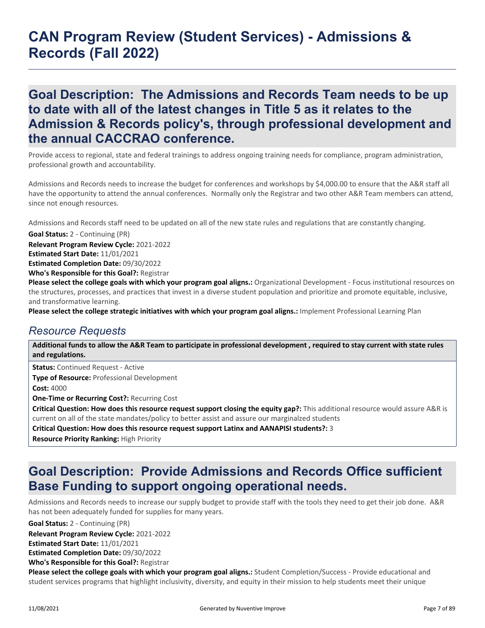**Goal Description: The Admissions and Records Team needs to be up to date with all of the latest changes in Title 5 as it relates to the Admission & Records policy's, through professional development and the annual CACCRAO conference.**

Provide access to regional, state and federal trainings to address ongoing training needs for compliance, program administration, professional growth and accountability.

Admissions and Records needs to increase the budget for conferences and workshops by \$4,000.00 to ensure that the A&R staff all have the opportunity to attend the annual conferences. Normally only the Registrar and two other A&R Team members can attend, since not enough resources.

Admissions and Records staff need to be updated on all of the new state rules and regulations that are constantly changing.

**Goal Status:** 2 - Continuing (PR)

**Relevant Program Review Cycle:** 2021-2022 **Estimated Start Date:** 11/01/2021

**Who's Responsible for this Goal?:** Registrar **Estimated Completion Date:** 09/30/2022

**Please select the college goals with which your program goal aligns.:** Organizational Development - Focus institutional resources on the structures, processes, and practices that invest in a diverse student population and prioritize and promote equitable, inclusive, and transformative learning.

**Please select the college strategic initiatives with which your program goal aligns.:** Implement Professional Learning Plan

#### *Resource Requests*

**Additional funds to allow the A&R Team to participate in professional development , required to stay current with state rules and regulations.**

**Status:** Continued Request - Active **Type of Resource:** Professional Development **Cost:** 4000 **One-Time or Recurring Cost?:** Recurring Cost **Critical Question: How does this resource request support closing the equity gap?:** This additional resource would assure A&R is current on all of the state mandates/policy to better assist and assure our marginalzed students

**Critical Question: How does this resource request support Latinx and AANAPISI students?:** 3

**Resource Priority Ranking:** High Priority

### **Goal Description: Provide Admissions and Records Office sufficient Base Funding to support ongoing operational needs.**

Admissions and Records needs to increase our supply budget to provide staff with the tools they need to get their job done. A&R has not been adequately funded for supplies for many years.

**Goal Status:** 2 - Continuing (PR)

**Relevant Program Review Cycle:** 2021-2022

**Estimated Start Date:** 11/01/2021

**Estimated Completion Date:** 09/30/2022

**Who's Responsible for this Goal?:** Registrar

**Please select the college goals with which your program goal aligns.:** Student Completion/Success - Provide educational and student services programs that highlight inclusivity, diversity, and equity in their mission to help students meet their unique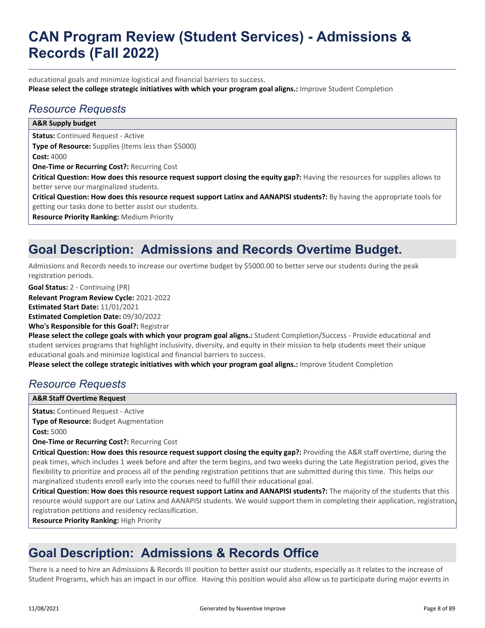educational goals and minimize logistical and financial barriers to success. **Please select the college strategic initiatives with which your program goal aligns.:** Improve Student Completion

### *Resource Requests*

#### **Status:** Continued Request - Active **Type of Resource:** Supplies (Items less than \$5000) **Cost:** 4000 **One-Time or Recurring Cost?:** Recurring Cost **Critical Question: How does this resource request support closing the equity gap?:** Having the resources for supplies allows to better serve our marginalized students. **Critical Question: How does this resource request support Latinx and AANAPISI students?:** By having the appropriate tools for getting our tasks done to better assist our students. **Resource Priority Ranking:** Medium Priority **A&R Supply budget**

## **Goal Description: Admissions and Records Overtime Budget.**

Admissions and Records needs to increase our overtime budget by \$5000.00 to better serve our students during the peak registration periods.

**Goal Status:** 2 - Continuing (PR)

**Relevant Program Review Cycle:** 2021-2022

**Estimated Start Date:** 11/01/2021

**Estimated Completion Date:** 09/30/2022

**Who's Responsible for this Goal?:** Registrar

**Please select the college goals with which your program goal aligns.:** Student Completion/Success - Provide educational and student services programs that highlight inclusivity, diversity, and equity in their mission to help students meet their unique educational goals and minimize logistical and financial barriers to success.

**Please select the college strategic initiatives with which your program goal aligns.:** Improve Student Completion

### *Resource Requests*

#### **A&R Staff Overtime Request**

**Status:** Continued Request - Active **Type of Resource:** Budget Augmentation **Cost:** 5000

**One-Time or Recurring Cost?:** Recurring Cost

**Critical Question: How does this resource request support closing the equity gap?:** Providing the A&R staff overtime, during the peak times, which includes 1 week before and after the term begins, and two weeks during the Late Registration period, gives the flexibility to prioritize and process all of the pending registration petitions that are submitted during this time. This helps our marginalized students enroll early into the courses need to fulfill their educational goal.

**Critical Question: How does this resource request support Latinx and AANAPISI students?:** The majority of the students that this resource would support are our Latinx and AANAPISI students. We would support them in completing their application, registration, registration petitions and residency reclassification.

**Resource Priority Ranking:** High Priority

### **Goal Description: Admissions & Records Office**

There is a need to hire an Admissions & Records III position to better assist our students, especially as it relates to the increase of Student Programs, which has an impact in our office. Having this position would also allow us to participate during major events in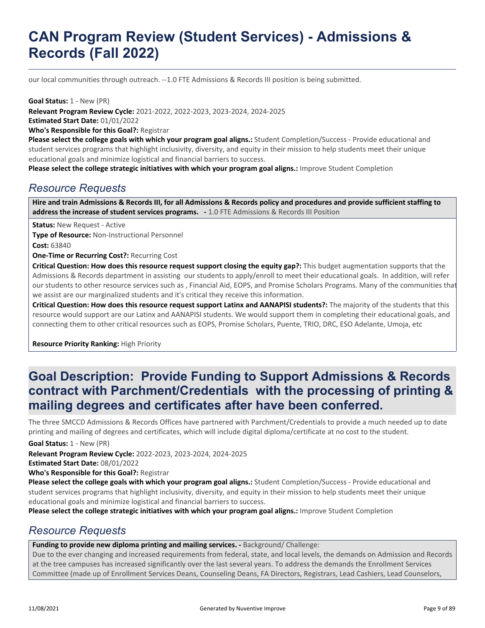our local communities through outreach. --1.0 FTE Admissions & Records III position is being submitted.

**Goal Status:** 1 - New (PR)

**Who's Responsible for this Goal?:** Registrar **Relevant Program Review Cycle:** 2021-2022, 2022-2023, 2023-2024, 2024-2025 **Estimated Start Date:** 01/01/2022

**Please select the college goals with which your program goal aligns.:** Student Completion/Success - Provide educational and student services programs that highlight inclusivity, diversity, and equity in their mission to help students meet their unique educational goals and minimize logistical and financial barriers to success.

**Please select the college strategic initiatives with which your program goal aligns.:** Improve Student Completion

#### *Resource Requests*

**Hire and train Admissions & Records III, for all Admissions & Records policy and procedures and provide sufficient staffing to address the increase of student services programs. -** 1.0 FTE Admissions & Records III Position

**Status:** New Request - Active

**Type of Resource:** Non-Instructional Personnel **Cost:** 63840

**One-Time or Recurring Cost?:** Recurring Cost

**Critical Question: How does this resource request support closing the equity gap?:** This budget augmentation supports that the Admissions & Records department in assisting our students to apply/enroll to meet their educational goals. In addition, will refer our students to other resource services such as , Financial Aid, EOPS, and Promise Scholars Programs. Many of the communities that we assist are our marginalized students and it's critical they receive this information.

**Critical Question: How does this resource request support Latinx and AANAPISI students?:** The majority of the students that this resource would support are our Latinx and AANAPISI students. We would support them in completing their educational goals, and connecting them to other critical resources such as EOPS, Promise Scholars, Puente, TRIO, DRC, ESO Adelante, Umoja, etc

**Resource Priority Ranking:** High Priority

### **Goal Description: Provide Funding to Support Admissions & Records contract with Parchment/Credentials with the processing of printing & mailing degrees and certificates after have been conferred.**

The three SMCCD Admissions & Records Offices have partnered with Parchment/Credentials to provide a much needed up to date printing and mailing of degrees and certificates, which will include digital diploma/certificate at no cost to the student.

**Goal Status:** 1 - New (PR)

**Relevant Program Review Cycle:** 2022-2023, 2023-2024, 2024-2025

**Estimated Start Date:** 08/01/2022

**Who's Responsible for this Goal?:** Registrar

**Please select the college goals with which your program goal aligns.:** Student Completion/Success - Provide educational and student services programs that highlight inclusivity, diversity, and equity in their mission to help students meet their unique educational goals and minimize logistical and financial barriers to success.

**Please select the college strategic initiatives with which your program goal aligns.:** Improve Student Completion

#### *Resource Requests*

Funding to provide new diploma printing and mailing services. - Background/ Challenge:

Due to the ever changing and increased requirements from federal, state, and local levels, the demands on Admission and Records at the tree campuses has increased significantly over the last several years. To address the demands the Enrollment Services Committee (made up of Enrollment Services Deans, Counseling Deans, FA Directors, Registrars, Lead Cashiers, Lead Counselors,